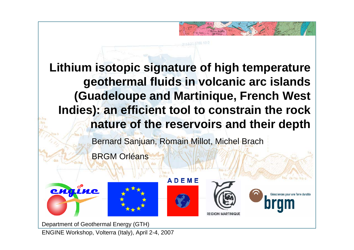# **Lithium isotopic signature of high temperature geothermal fluids in volcanic arc islands (Guadeloupe and Martinique, French West Indies): an efficient tool to constrain the rock nature of the reservoirs and their depth**

Bernard Sanjuan, Romain Millot, Michel Brach

BRGM Orléans













Department of Geothermal Energy (GTH)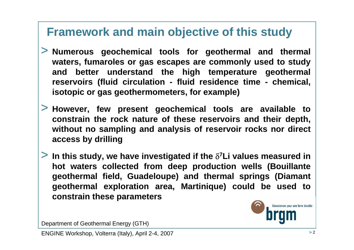## **Framework and main objective of this study**

- > **Numerous geochemical tools for geothermal and thermal waters, fumaroles or gas escapes are commonly used to study and better understand the high temperature geothermal reservoirs (fluid circulation - fluid residence time - chemical, isotopic or gas geothermometers, for example)**
- > **However, few present geochemical tools are available to constrain the rock nature of these reservoirs and their depth, without no sampling and analysis of reservoir rocks nor direct access by drilling**
- > **In this study, we have investigated if the** δ**7Li values measured in hot waters collected from deep production wells (Bouillante geothermal field, Guadeloupe) and thermal springs (Diamant geothermal exploration area, Martinique) could be used to constrain these parameters**



Department of Geothermal Energy (GTH)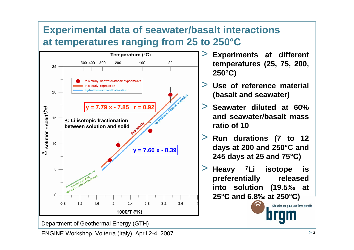#### **Experimental data of seawater/basalt interactions at temperatures ranging from 25 to 250°C**



Department of Geothermal Energy (GTH)

- > **Experiments at different temperatures (25, 75, 200, 250°C)**
- > **Use of reference material (basalt and seawater)**
- > **Seawater diluted at 60% and seawater/basalt mass ratio of 10**
- > **Run durations (7 to 12 days at 200 and 250°C and 245 days at 25 and 75°C)**
- > **Heavy 7Li isotope is preferentially released into solution (19.5‰ at 25°C and 6.8‰ at 250°C)**

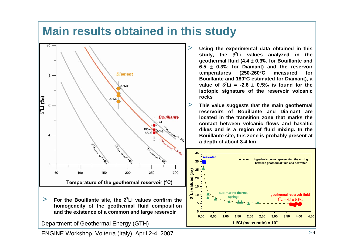## **Main results obtained in this study**



> **For the Bouillante site, the** δ**7Li values confirm the homogeneity of the geothermal fluid composition and the existence of a common and large reservoir**

Department of Geothermal Energy (GTH)

- > **Using the experimental data obtained in this study, the** δ**7Li values analyzed in the geothermal fluid (4.4** <sup>±</sup> **0.3‰ for Bouillante and 6.5** ± **0.3‰ for Diamant) and the reservoir temperatures (250-260°C measured for Bouillante and 180°C estimated for Diamant), a value of**  $\delta^7$ Li = -2.6  $\pm$  0.5‰ is found for the **isotopic signature of the reservoir volcanic rocks**
	- **This value suggests that the main geothermal reservoirs of Bouillante and Diamant are located in the transition zone that marks the contact between volcanic flows and basaltic dikes and is a region of fluid mixing. In the Bouillante site, this zone is probably present at a depth of about 3-4 km**